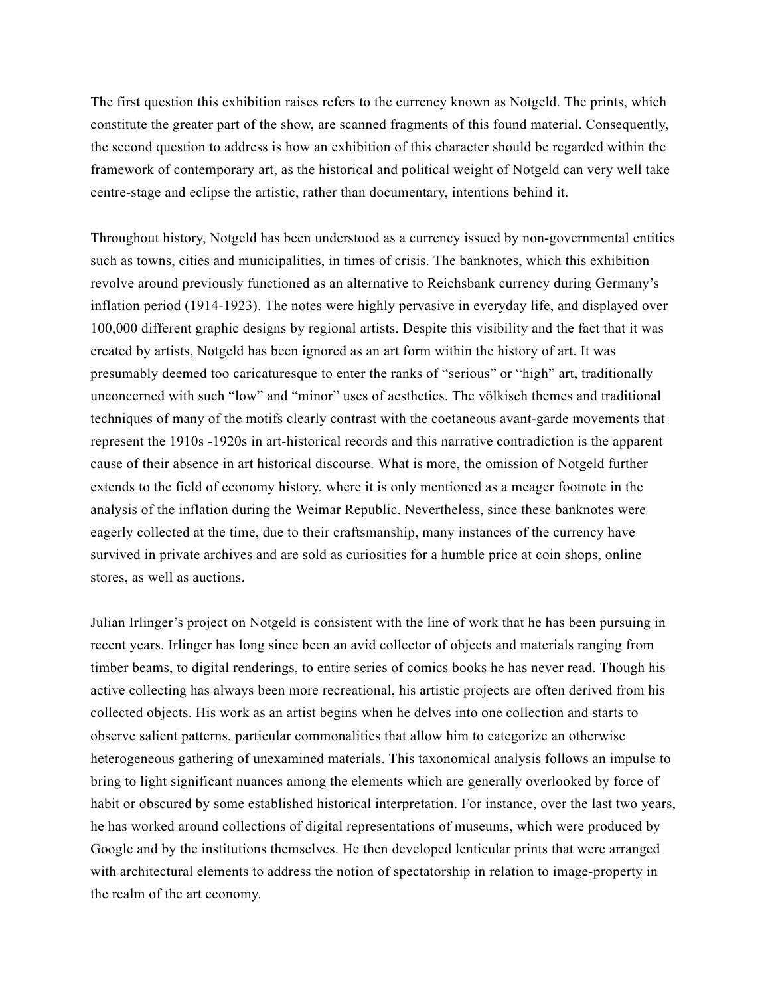The first question this exhibition raises refers to the currency known as Notgeld. The prints, which constitute the greater part of the show, are scanned fragments of this found material. Consequently, the second question to address is how an exhibition of this character should be regarded within the framework of contemporary art, as the historical and political weight of Notgeld can very well take centre-stage and eclipse the artistic, rather than documentary, intentions behind it.

Throughout history, Notgeld has been understood as a currency issued by non-governmental entities such as towns, cities and municipalities, in times of crisis. The banknotes, which this exhibition revolve around previously functioned as an alternative to Reichsbank currency during Germany's inflation period (1914-1923). The notes were highly pervasive in everyday life, and displayed over 100,000 different graphic designs by regional artists. Despite this visibility and the fact that it was created by artists, Notgeld has been ignored as an art form within the history of art. It was presumably deemed too caricaturesque to enter the ranks of "serious" or "high" art, traditionally unconcerned with such "low" and "minor" uses of aesthetics. The völkisch themes and traditional techniques of many of the motifs clearly contrast with the coetaneous avant-garde movements that represent the 1910s -1920s in art-historical records and this narrative contradiction is the apparent cause of their absence in art historical discourse. What is more, the omission of Notgeld further extends to the field of economy history, where it is only mentioned as a meager footnote in the analysis of the inflation during the Weimar Republic. Nevertheless, since these banknotes were eagerly collected at the time, due to their craftsmanship, many instances of the currency have survived in private archives and are sold as curiosities for a humble price at coin shops, online stores, as well as auctions.

Julian Irlinger's project on Notgeld is consistent with the line of work that he has been pursuing in recent years. Irlinger has long since been an avid collector of objects and materials ranging from timber beams, to digital renderings, to entire series of comics books he has never read. Though his active collecting has always been more recreational, his artistic projects are often derived from his collected objects. His work as an artist begins when he delves into one collection and starts to observe salient patterns, particular commonalities that allow him to categorize an otherwise heterogeneous gathering of unexamined materials. This taxonomical analysis follows an impulse to bring to light significant nuances among the elements which are generally overlooked by force of habit or obscured by some established historical interpretation. For instance, over the last two years, he has worked around collections of digital representations of museums, which were produced by Google and by the institutions themselves. He then developed lenticular prints that were arranged with architectural elements to address the notion of spectatorship in relation to image-property in the realm of the art economy.